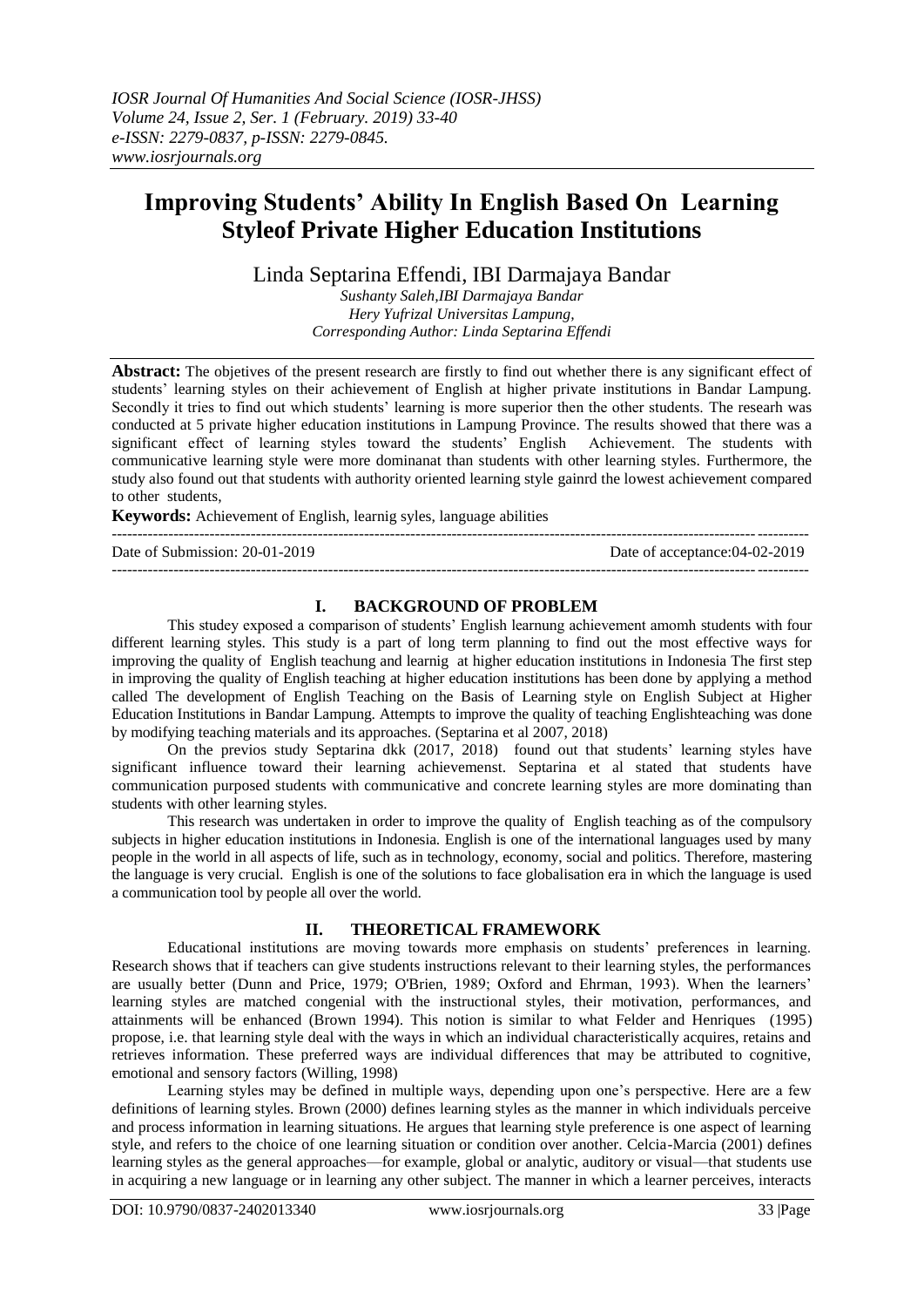# **Improving Students' Ability In English Based On Learning Styleof Private Higher Education Institutions**

Linda Septarina Effendi, IBI Darmajaya Bandar

*Sushanty Saleh,IBI Darmajaya Bandar Hery Yufrizal Universitas Lampung, Corresponding Author: Linda Septarina Effendi*

**Abstract:** The objetives of the present research are firstly to find out whether there is any significant effect of students" learning styles on their achievement of English at higher private institutions in Bandar Lampung. Secondly it tries to find out which students' learning is more superior then the other students. The researh was conducted at 5 private higher education institutions in Lampung Province. The results showed that there was a significant effect of learning styles toward the students" English Achievement. The students with communicative learning style were more dominanat than students with other learning styles. Furthermore, the study also found out that students with authority oriented learning style gainrd the lowest achievement compared to other students,

**Keywords:** Achievement of English, learnig syles, language abilities

--------------------------------------------------------------------------------------------------------------------------------------- Date of Submission: 20-01-2019 Date of acceptance:04-02-2019 ---------------------------------------------------------------------------------------------------------------------------------------

# **I. BACKGROUND OF PROBLEM**

This studey exposed a comparison of students" English learnung achievement amomh students with four different learning styles. This study is a part of long term planning to find out the most effective ways for improving the quality of English teachung and learnig at higher education institutions in Indonesia The first step in improving the quality of English teaching at higher education institutions has been done by applying a method called The development of English Teaching on the Basis of Learning style on English Subject at Higher Education Institutions in Bandar Lampung. Attempts to improve the quality of teaching Englishteaching was done by modifying teaching materials and its approaches. (Septarina et al 2007, 2018)

On the previos study Septarina dkk (2017, 2018) found out that students" learning styles have significant influence toward their learning achievemenst. Septarina et al stated that students have communication purposed students with communicative and concrete learning styles are more dominating than students with other learning styles.

This research was undertaken in order to improve the quality of English teaching as of the compulsory subjects in higher education institutions in Indonesia. English is one of the international languages used by many people in the world in all aspects of life, such as in technology, economy, social and politics. Therefore, mastering the language is very crucial. English is one of the solutions to face globalisation era in which the language is used a communication tool by people all over the world.

## **II. THEORETICAL FRAMEWORK**

Educational institutions are moving towards more emphasis on students" preferences in learning. Research shows that if teachers can give students instructions relevant to their learning styles, the performances are usually better (Dunn and Price, 1979; O'Brien, 1989; Oxford and Ehrman, 1993). When the learners" learning styles are matched congenial with the instructional styles, their motivation, performances, and attainments will be enhanced (Brown 1994). This notion is similar to what Felder and Henriques (1995) propose, i.e. that learning style deal with the ways in which an individual characteristically acquires, retains and retrieves information. These preferred ways are individual differences that may be attributed to cognitive, emotional and sensory factors (Willing, 1998)

Learning styles may be defined in multiple ways, depending upon one"s perspective. Here are a few definitions of learning styles. Brown (2000) defines learning styles as the manner in which individuals perceive and process information in learning situations. He argues that learning style preference is one aspect of learning style, and refers to the choice of one learning situation or condition over another. Celcia-Marcia (2001) defines learning styles as the general approaches—for example, global or analytic, auditory or visual—that students use in acquiring a new language or in learning any other subject. The manner in which a learner perceives, interacts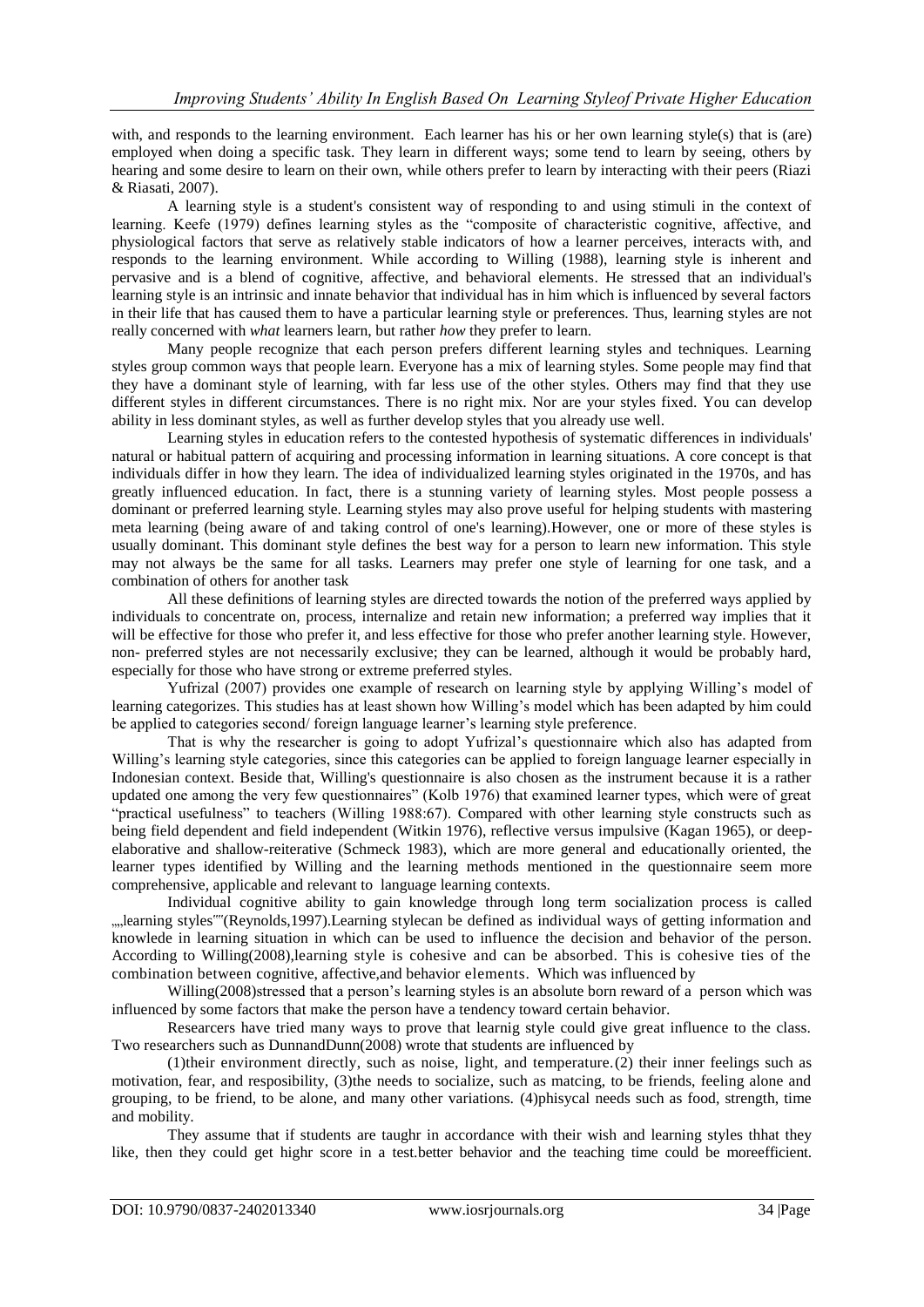with, and responds to the learning environment. Each learner has his or her own learning style(s) that is (are) employed when doing a specific task. They learn in different ways; some tend to learn by seeing, others by hearing and some desire to learn on their own, while others prefer to learn by interacting with their peers (Riazi & Riasati, 2007).

A learning style is a student's consistent way of responding to and using stimuli in the context of learning. Keefe (1979) defines learning styles as the "composite of characteristic cognitive, affective, and physiological factors that serve as relatively stable indicators of how a learner perceives, interacts with, and responds to the learning environment. While according to Willing (1988), learning style is inherent and pervasive and is a blend of cognitive, affective, and behavioral elements. He stressed that an individual's learning style is an intrinsic and innate behavior that individual has in him which is influenced by several factors in their life that has caused them to have a particular learning style or preferences. Thus, learning styles are not really concerned with *what* learners learn, but rather *how* they prefer to learn.

Many people recognize that each person prefers different learning styles and techniques. Learning styles group common ways that people learn. Everyone has a mix of learning styles. Some people may find that they have a dominant style of learning, with far less use of the other styles. Others may find that they use different styles in different circumstances. There is no right mix. Nor are your styles fixed. You can develop ability in less dominant styles, as well as further develop styles that you already use well.

Learning styles in [education](http://en.wikipedia.org/wiki/Education) refers to the contested hypothesis of systematic differences in individuals' natural or habitual pattern of acquiring and processing information in [learning](http://en.wikipedia.org/wiki/Learning) situations. A core concept is that individuals differ in how they learn. The idea of individualized learning styles originated in the 1970s, and has greatly influenced education. In fact, there is a stunning variety of learning styles. Most people possess a dominant or preferred learning style. Learning styles may also prove useful for helping students with mastering meta learning (being aware of and taking control of one's learning).However, one or more of these styles is usually dominant. This dominant style defines the best way for a person to learn new information. This style may not always be the same for all tasks. Learners may prefer one style of learning for one task, and a combination of others for another task

All these definitions of learning styles are directed towards the notion of the preferred ways applied by individuals to concentrate on, process, internalize and retain new information; a preferred way implies that it will be effective for those who prefer it, and less effective for those who prefer another learning style. However, non- preferred styles are not necessarily exclusive; they can be learned, although it would be probably hard, especially for those who have strong or extreme preferred styles.

Yufrizal (2007) provides one example of research on learning style by applying Willing"s model of learning categorizes. This studies has at least shown how Willing"s model which has been adapted by him could be applied to categories second/ foreign language learner's learning style preference.

That is why the researcher is going to adopt Yufrizal"s questionnaire which also has adapted from Willing's learning style categories, since this categories can be applied to foreign language learner especially in Indonesian context. Beside that, Willing's questionnaire is also chosen as the instrument because it is a rather updated one among the very few questionnaires" (Kolb 1976) that examined learner types, which were of great "practical usefulness" to teachers (Willing 1988:67). Compared with other learning style constructs such as being field dependent and field independent (Witkin 1976), reflective versus impulsive (Kagan 1965), or deepelaborative and shallow-reiterative (Schmeck 1983), which are more general and educationally oriented, the learner types identified by Willing and the learning methods mentioned in the questionnaire seem more comprehensive, applicable and relevant to language learning contexts.

Individual cognitive ability to gain knowledge through long term socialization process is called "learning styles""(Reynolds,1997).Learning stylecan be defined as individual ways of getting information and knowlede in learning situation in which can be used to influence the decision and behavior of the person. According to Willing(2008),learning style is cohesive and can be absorbed. This is cohesive ties of the combination between cognitive, affective,and behavior elements. Which was influenced by

Willing(2008)stressed that a person"s learning styles is an absolute born reward of a person which was influenced by some factors that make the person have a tendency toward certain behavior.

Researcers have tried many ways to prove that learnig style could give great influence to the class. Two researchers such as DunnandDunn(2008) wrote that students are influenced by

(1)their environment directly, such as noise, light, and temperature.(2) their inner feelings such as motivation, fear, and resposibility, (3)the needs to socialize, such as matcing, to be friends, feeling alone and grouping, to be friend, to be alone, and many other variations. (4)phisycal needs such as food, strength, time and mobility.

They assume that if students are taughr in accordance with their wish and learning styles thhat they like, then they could get highr score in a test.better behavior and the teaching time could be moreefficient.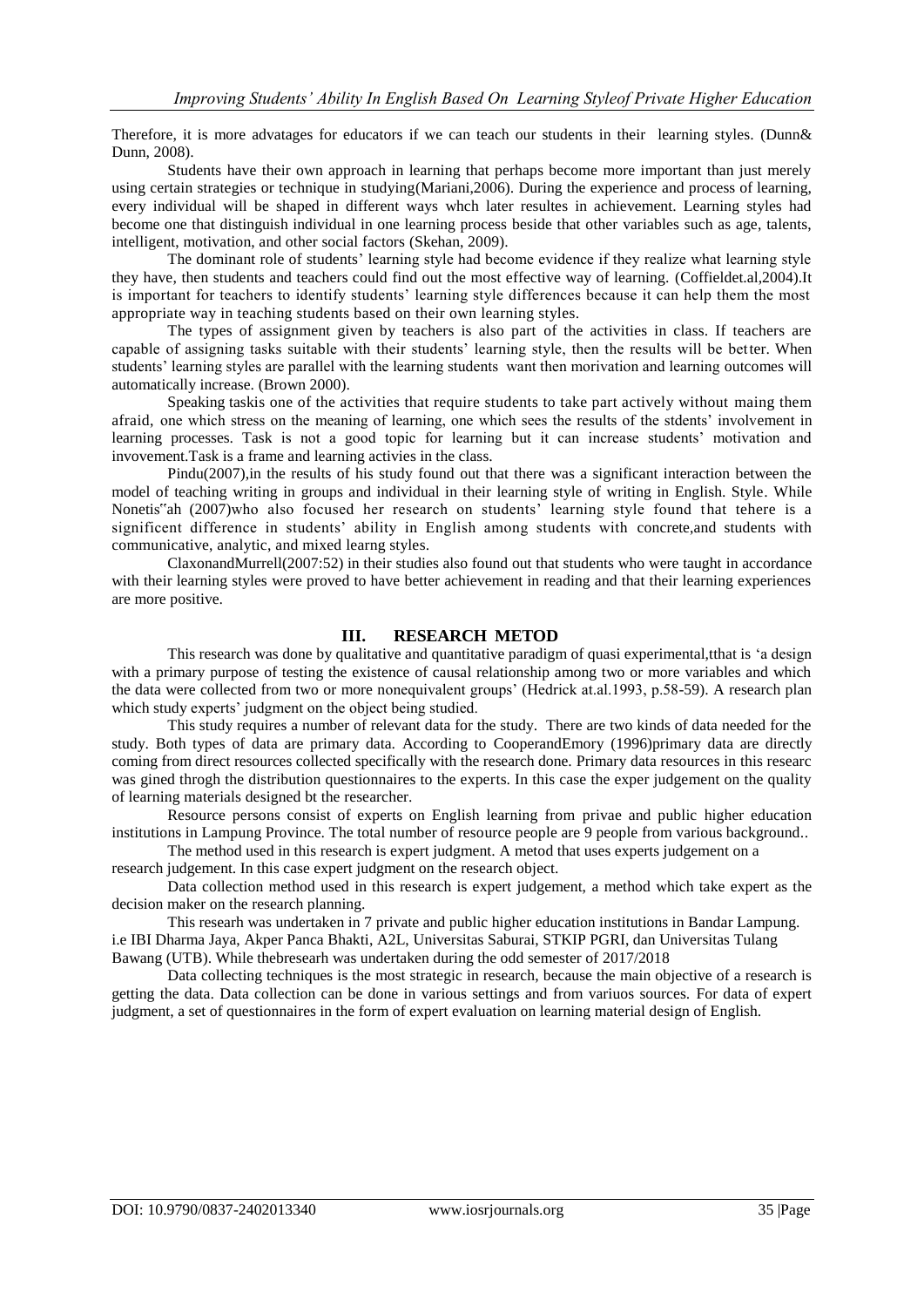Therefore, it is more advatages for educators if we can teach our students in their learning styles. (Dunn& Dunn, 2008).

Students have their own approach in learning that perhaps become more important than just merely using certain strategies or technique in studying(Mariani,2006). During the experience and process of learning, every individual will be shaped in different ways whch later resultes in achievement. Learning styles had become one that distinguish individual in one learning process beside that other variables such as age, talents, intelligent, motivation, and other social factors (Skehan, 2009).

The dominant role of students' learning style had become evidence if they realize what learning style they have, then students and teachers could find out the most effective way of learning. (Coffieldet.al,2004).It is important for teachers to identify students' learning style differences because it can help them the most appropriate way in teaching students based on their own learning styles.

The types of assignment given by teachers is also part of the activities in class. If teachers are capable of assigning tasks suitable with their students' learning style, then the results will be better. When students" learning styles are parallel with the learning students want then morivation and learning outcomes will automatically increase. (Brown 2000).

Speaking taskis one of the activities that require students to take part actively without maing them afraid, one which stress on the meaning of learning, one which sees the results of the stdents' involvement in learning processes. Task is not a good topic for learning but it can increase students' motivation and invovement.Task is a frame and learning activies in the class.

Pindu(2007),in the results of his study found out that there was a significant interaction between the model of teaching writing in groups and individual in their learning style of writing in English. Style. While Nonetis"ah (2007)who also focused her research on students" learning style found that tehere is a significent difference in students" ability in English among students with concrete,and students with communicative, analytic, and mixed learng styles.

ClaxonandMurrell(2007:52) in their studies also found out that students who were taught in accordance with their learning styles were proved to have better achievement in reading and that their learning experiences are more positive.

#### **III. RESEARCH METOD**

This research was done by qualitative and quantitative paradigm of quasi experimental,tthat is "a design with a primary purpose of testing the existence of causal relationship among two or more variables and which the data were collected from two or more nonequivalent groups' (Hedrick at.al.1993, p.58-59). A research plan which study experts' judgment on the object being studied.

This study requires a number of relevant data for the study. There are two kinds of data needed for the study. Both types of data are primary data. According to CooperandEmory (1996)primary data are directly coming from direct resources collected specifically with the research done. Primary data resources in this researc was gined throgh the distribution questionnaires to the experts. In this case the exper judgement on the quality of learning materials designed bt the researcher.

Resource persons consist of experts on English learning from privae and public higher education institutions in Lampung Province. The total number of resource people are 9 people from various background..

The method used in this research is expert judgment. A metod that uses experts judgement on a research judgement. In this case expert judgment on the research object.

Data collection method used in this research is expert judgement, a method which take expert as the decision maker on the research planning.

This researh was undertaken in 7 private and public higher education institutions in Bandar Lampung. i.e IBI Dharma Jaya, Akper Panca Bhakti, A2L, Universitas Saburai, STKIP PGRI, dan Universitas Tulang Bawang (UTB). While thebresearh was undertaken during the odd semester of 2017/2018

Data collecting techniques is the most strategic in research, because the main objective of a research is getting the data. Data collection can be done in various settings and from variuos sources. For data of expert judgment, a set of questionnaires in the form of expert evaluation on learning material design of English.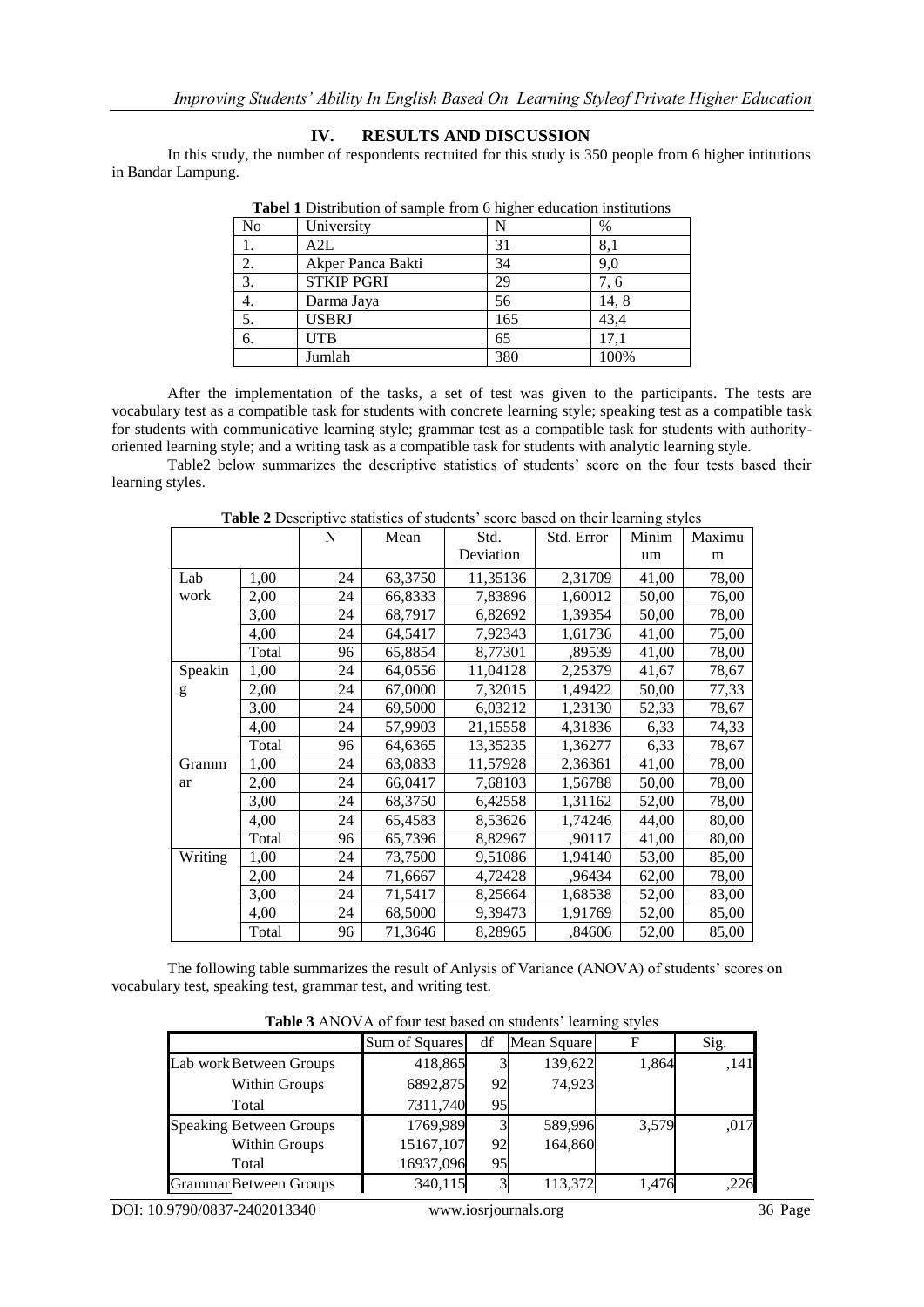# **IV. RESULTS AND DISCUSSION**

In this study, the number of respondents rectuited for this study is 350 people from 6 higher intitutions in Bandar Lampung.

| <b>Those I</b> Distribution of sumple from a inglier education mistributions |                   |     |      |  |  |  |
|------------------------------------------------------------------------------|-------------------|-----|------|--|--|--|
| No                                                                           | University        |     | %    |  |  |  |
|                                                                              | A2L               | 31  | 8,1  |  |  |  |
| 2.                                                                           | Akper Panca Bakti | 34  | 9,0  |  |  |  |
| 3.                                                                           | <b>STKIP PGRI</b> | 29  | 7.6  |  |  |  |
| 4.                                                                           | Darma Jaya        | 56  | 14,8 |  |  |  |
| 5.                                                                           | <b>USBRJ</b>      | 165 | 43,4 |  |  |  |
| 6.                                                                           | <b>UTB</b>        | 65  | 17.1 |  |  |  |
|                                                                              | Jumlah            | 380 | 100% |  |  |  |

**Tabel 1** Distribution of sample from 6 higher education institutions

After the implementation of the tasks, a set of test was given to the participants. The tests are vocabulary test as a compatible task for students with concrete learning style; speaking test as a compatible task for students with communicative learning style; grammar test as a compatible task for students with authorityoriented learning style; and a writing task as a compatible task for students with analytic learning style.

Table2 below summarizes the descriptive statistics of students" score on the four tests based their learning styles.

|         |       | N  | Mean    | Std.      | Std. Error | Minim | Maximu |
|---------|-------|----|---------|-----------|------------|-------|--------|
|         |       |    |         | Deviation |            | um    | m      |
| Lab     | 1,00  | 24 | 63,3750 | 11,35136  | 2,31709    | 41,00 | 78,00  |
| work    | 2,00  | 24 | 66,8333 | 7,83896   | 1,60012    | 50,00 | 76,00  |
|         | 3,00  | 24 | 68,7917 | 6,82692   | 1,39354    | 50,00 | 78,00  |
|         | 4,00  | 24 | 64,5417 | 7,92343   | 1,61736    | 41,00 | 75,00  |
|         | Total | 96 | 65,8854 | 8,77301   | .89539     | 41,00 | 78,00  |
| Speakin | 1,00  | 24 | 64,0556 | 11,04128  | 2,25379    | 41,67 | 78,67  |
| g       | 2,00  | 24 | 67,0000 | 7,32015   | 1,49422    | 50,00 | 77,33  |
|         | 3,00  | 24 | 69,5000 | 6,03212   | 1,23130    | 52,33 | 78,67  |
|         | 4,00  | 24 | 57,9903 | 21,15558  | 4,31836    | 6,33  | 74,33  |
|         | Total | 96 | 64,6365 | 13,35235  | 1,36277    | 6,33  | 78,67  |
| Gramm   | 1,00  | 24 | 63,0833 | 11,57928  | 2,36361    | 41,00 | 78,00  |
| ar      | 2,00  | 24 | 66,0417 | 7,68103   | 1,56788    | 50,00 | 78,00  |
|         | 3,00  | 24 | 68,3750 | 6,42558   | 1,31162    | 52,00 | 78,00  |
|         | 4,00  | 24 | 65,4583 | 8,53626   | 1,74246    | 44,00 | 80,00  |
|         | Total | 96 | 65,7396 | 8,82967   | ,90117     | 41,00 | 80,00  |
| Writing | 1,00  | 24 | 73,7500 | 9,51086   | 1,94140    | 53,00 | 85,00  |
|         | 2,00  | 24 | 71,6667 | 4,72428   | .96434     | 62,00 | 78,00  |
|         | 3,00  | 24 | 71,5417 | 8,25664   | 1,68538    | 52,00 | 83,00  |
|         | 4,00  | 24 | 68,5000 | 9,39473   | 1,91769    | 52,00 | 85,00  |
|         | Total | 96 | 71,3646 | 8,28965   | ,84606     | 52,00 | 85,00  |

Table 2 Descriptive statistics of students' score based on their learning styles

The following table summarizes the result of Anlysis of Variance (ANOVA) of students" scores on vocabulary test, speaking test, grammar test, and writing test.

**Table 3** ANOVA of four test based on students' learning styles

|                                | Sum of Squares | df | Mean Square |       | Sig. |
|--------------------------------|----------------|----|-------------|-------|------|
| Lab work Between Groups        | 418,865        |    | 139,622     | 1,864 | .141 |
| Within Groups                  | 6892,875       | 92 | 74,923      |       |      |
| Total                          | 7311,740       | 95 |             |       |      |
| <b>Speaking Between Groups</b> | 1769,989       | 3  | 589,996     | 3,579 | ,017 |
| Within Groups                  | 15167,107      | 92 | 164,860     |       |      |
| Total                          | 16937,096      | 95 |             |       |      |
| <b>Grammar Between Groups</b>  | 340,115        | 3  | 113,372     | 1.476 | 226  |

DOI: 10.9790/0837-2402013340 www.iosrjournals.org36 |Page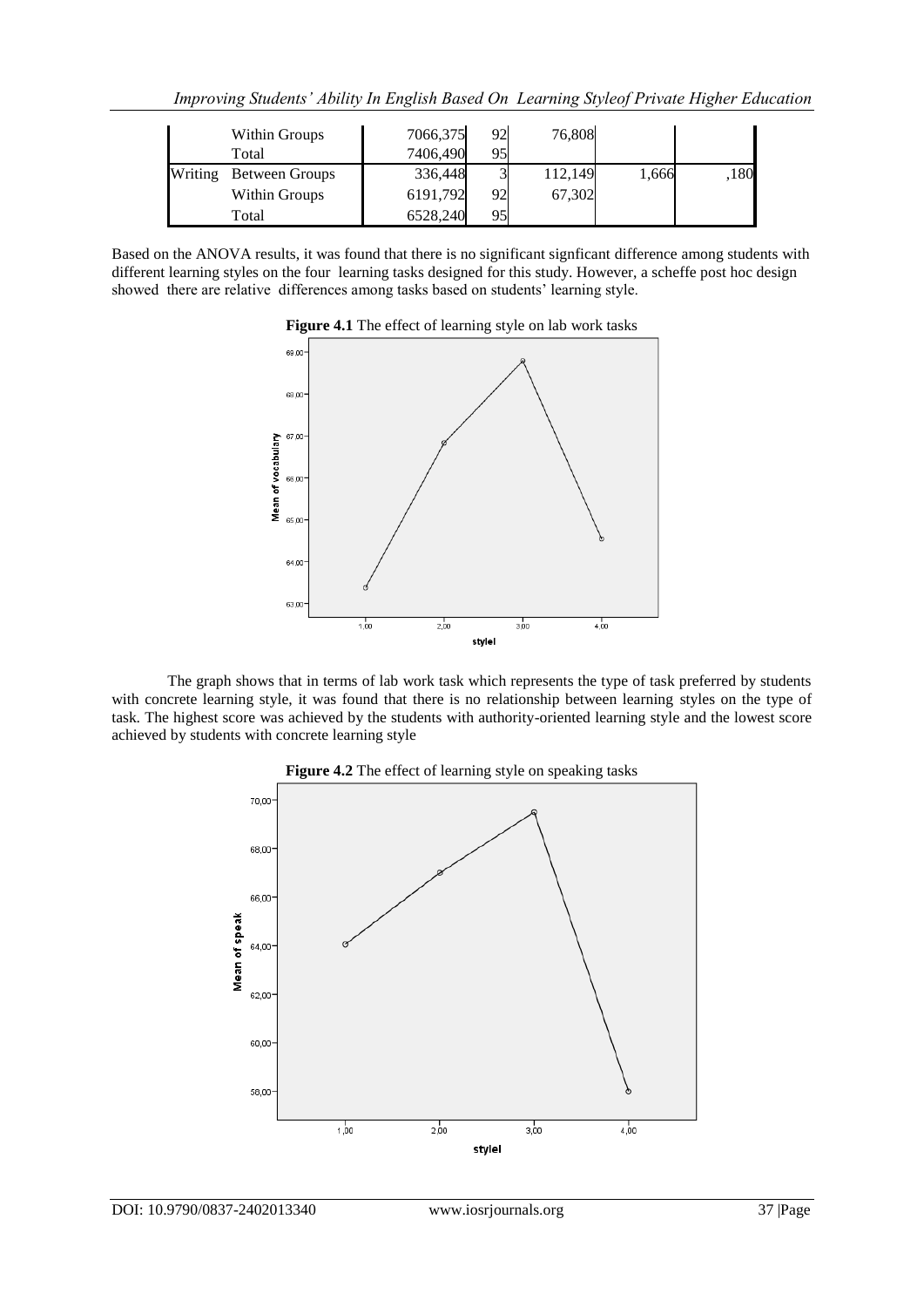|         | Within Groups  | 7066,375 | 92 | 76,808  |       |      |
|---------|----------------|----------|----|---------|-------|------|
|         | Total          | 7406,490 | 95 |         |       |      |
| Writing | Between Groups | 336,448  |    | 112,149 | 1,666 | ,180 |
|         | Within Groups  | 6191,792 | 92 | 67,302  |       |      |
|         | Total          | 6528,240 | 95 |         |       |      |

Based on the ANOVA results, it was found that there is no significant signficant difference among students with different learning styles on the four learning tasks designed for this study. However, a scheffe post hoc design showed there are relative differences among tasks based on students' learning style.





The graph shows that in terms of lab work task which represents the type of task preferred by students with concrete learning style, it was found that there is no relationship between learning styles on the type of task. The highest score was achieved by the students with authority-oriented learning style and the lowest score achieved by students with concrete learning style



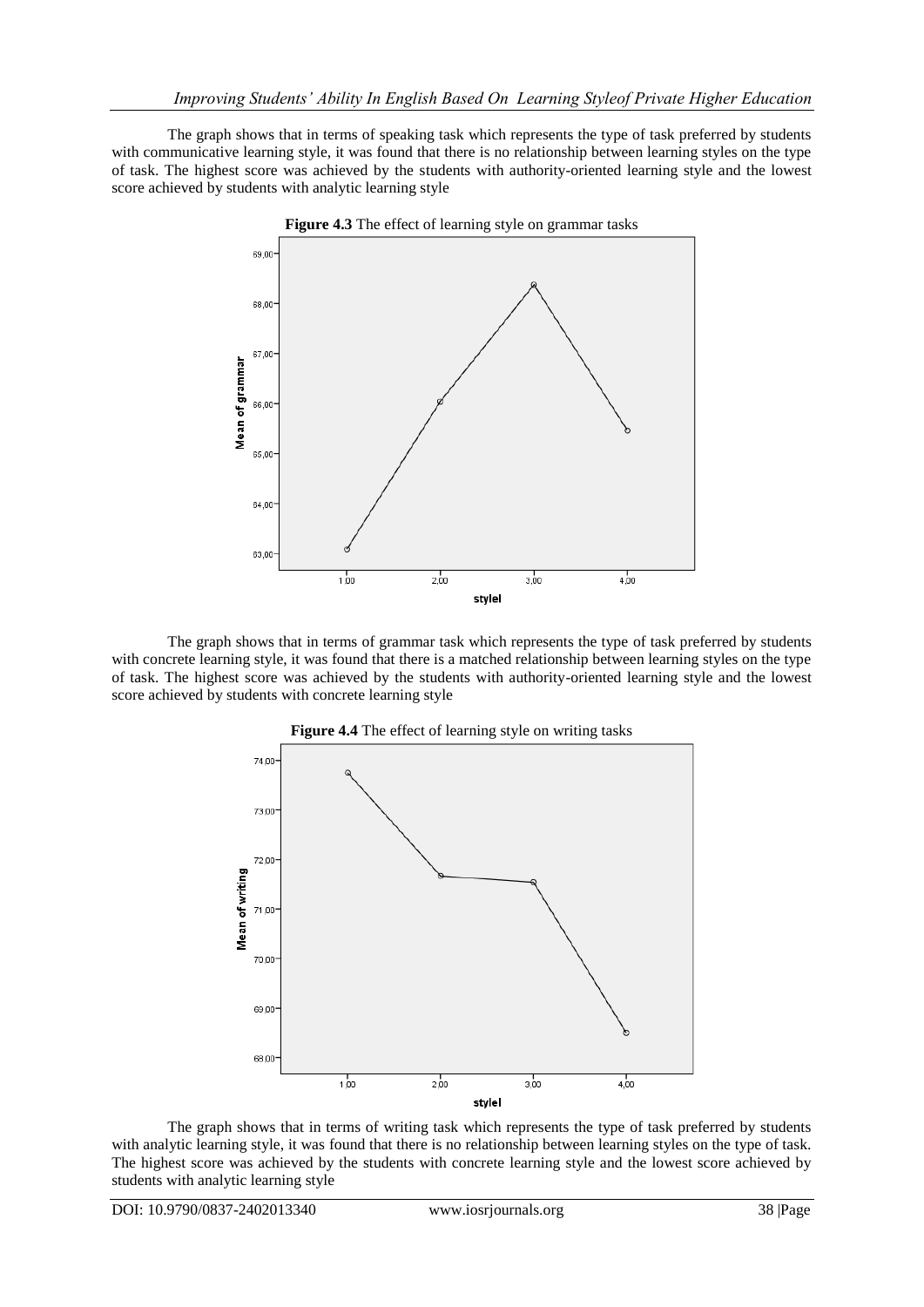The graph shows that in terms of speaking task which represents the type of task preferred by students with communicative learning style, it was found that there is no relationship between learning styles on the type of task. The highest score was achieved by the students with authority-oriented learning style and the lowest score achieved by students with analytic learning style



The graph shows that in terms of grammar task which represents the type of task preferred by students with concrete learning style, it was found that there is a matched relationship between learning styles on the type of task. The highest score was achieved by the students with authority-oriented learning style and the lowest score achieved by students with concrete learning style



**Figure 4.4** The effect of learning style on writing tasks

The graph shows that in terms of writing task which represents the type of task preferred by students with analytic learning style, it was found that there is no relationship between learning styles on the type of task. The highest score was achieved by the students with concrete learning style and the lowest score achieved by students with analytic learning style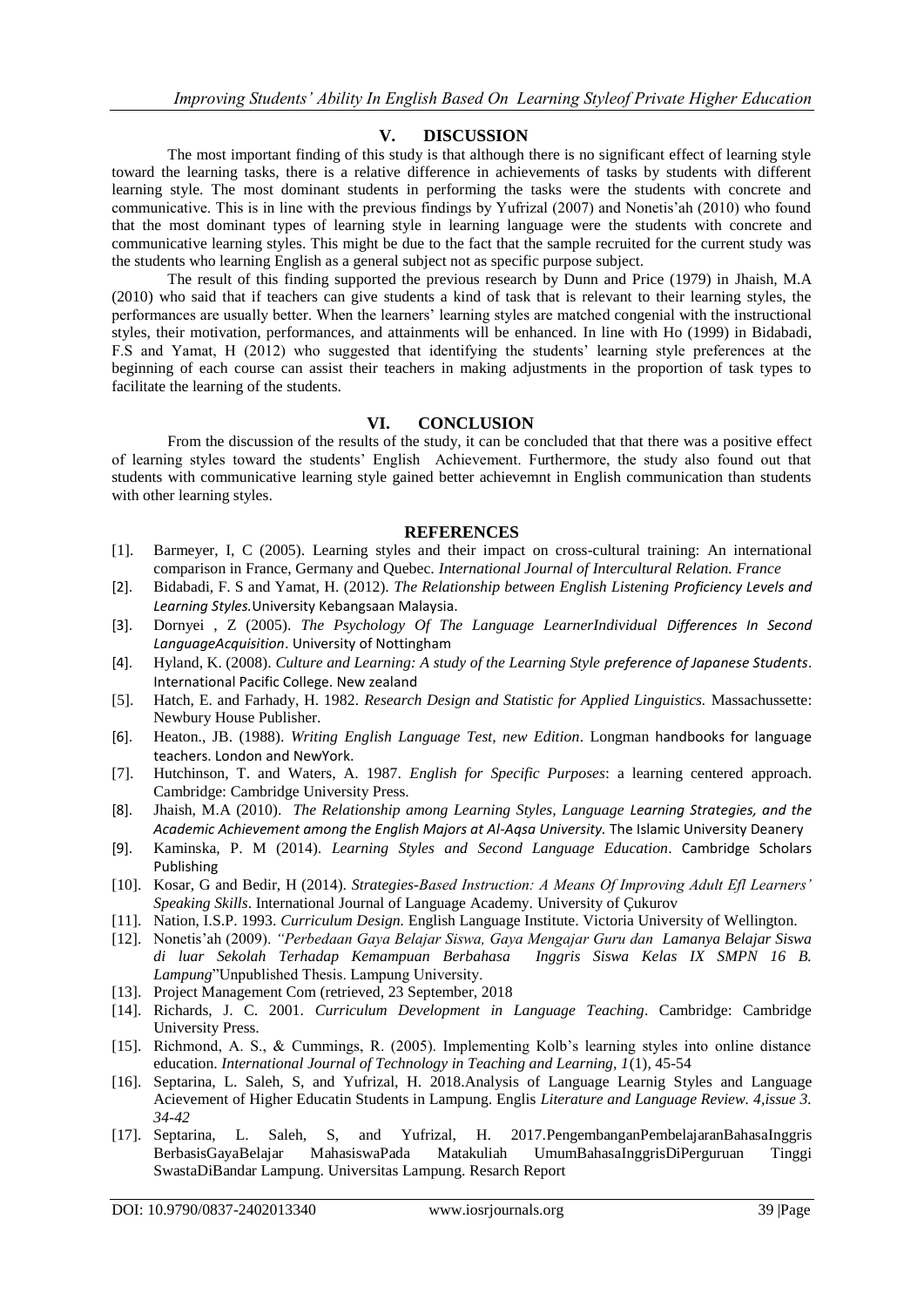# **V. DISCUSSION**

The most important finding of this study is that although there is no significant effect of learning style toward the learning tasks, there is a relative difference in achievements of tasks by students with different learning style. The most dominant students in performing the tasks were the students with concrete and communicative. This is in line with the previous findings by Yufrizal (2007) and Nonetis"ah (2010) who found that the most dominant types of learning style in learning language were the students with concrete and communicative learning styles. This might be due to the fact that the sample recruited for the current study was the students who learning English as a general subject not as specific purpose subject.

The result of this finding supported the previous research by Dunn and Price (1979) in Jhaish, M.A (2010) who said that if teachers can give students a kind of task that is relevant to their learning styles, the performances are usually better. When the learners" learning styles are matched congenial with the instructional styles, their motivation, performances, and attainments will be enhanced. In line with Ho (1999) in Bidabadi, F.S and Yamat, H (2012) who suggested that identifying the students" learning style preferences at the beginning of each course can assist their teachers in making adjustments in the proportion of task types to facilitate the learning of the students.

#### **VI. CONCLUSION**

From the discussion of the results of the study, it can be concluded that that there was a positive effect of learning styles toward the students" English Achievement. Furthermore, the study also found out that students with communicative learning style gained better achievemnt in English communication than students with other learning styles.

#### **REFERENCES**

- [1]. Barmeyer, I, C (2005). Learning styles and their impact on cross-cultural training: An international comparison in France, Germany and Quebec. *International Journal of Intercultural Relation. France*
- [2]. Bidabadi, F. S and Yamat, H. (2012). *The Relationship between English Listening Proficiency Levels and Learning Styles.*University Kebangsaan Malaysia.
- [3]. Dornyei , Z (2005). *The Psychology Of The Language LearnerIndividual Differences In Second LanguageAcquisition*. University of Nottingham
- [4]. Hyland, K. (2008). *Culture and Learning: A study of the Learning Style preference of Japanese Students*. International Pacific College. New zealand
- [5]. Hatch, E. and Farhady, H. 1982. *Research Design and Statistic for Applied Linguistics.* Massachussette: Newbury House Publisher.
- [6]. Heaton., JB. (1988). *Writing English Language Test, new Edition*. Longman handbooks for language teachers. London and NewYork.
- [7]. Hutchinson, T. and Waters, A. 1987. *English for Specific Purposes*: a learning centered approach. Cambridge: Cambridge University Press.
- [8]. Jhaish, M.A (2010). *The Relationship among Learning Styles, Language Learning Strategies, and the Academic Achievement among the English Majors at Al-Aqsa University.* The Islamic University Deanery
- [9]. Kaminska, P. M (2014). *Learning Styles and Second Language Education*. Cambridge Scholars Publishing
- [10]. Kosar, G and Bedir, H (2014). *Strategies-Based Instruction: A Means Of Improving Adult Efl Learners' Speaking Skills*. International Journal of Language Academy. University of Çukurov
- [11]. Nation, I.S.P. 1993. *Curriculum Design.* English Language Institute. Victoria University of Wellington.
- [12]. Nonetis"ah (2009). *"Perbedaan Gaya Belajar Siswa, Gaya Mengajar Guru dan Lamanya Belajar Siswa di luar Sekolah Terhadap Kemampuan Berbahasa Inggris Siswa Kelas IX SMPN 16 B. Lampung*"Unpublished Thesis. Lampung University.
- [13]. Project Management Com (retrieved, 23 September, 2018)
- [14]. Richards, J. C. 2001. *Curriculum Development in Language Teaching*. Cambridge: Cambridge University Press.
- [15]. Richmond, A. S., & Cummings, R. (2005). Implementing Kolb"s learning styles into online distance education. *International Journal of Technology in Teaching and Learning, 1*(1)*,* 45-54
- [16]. Septarina, L. Saleh, S, and Yufrizal, H. 2018.Analysis of Language Learnig Styles and Language Acievement of Higher Educatin Students in Lampung. Englis *Literature and Language Review. 4,issue 3. 34-42*
- [17]. Septarina, L. Saleh, S, and Yufrizal, H. 2017.PengembanganPembelajaranBahasaInggris BerbasisGayaBelajar MahasiswaPada Matakuliah UmumBahasaInggrisDiPerguruan Tinggi SwastaDiBandar Lampung. Universitas Lampung. Resarch Report